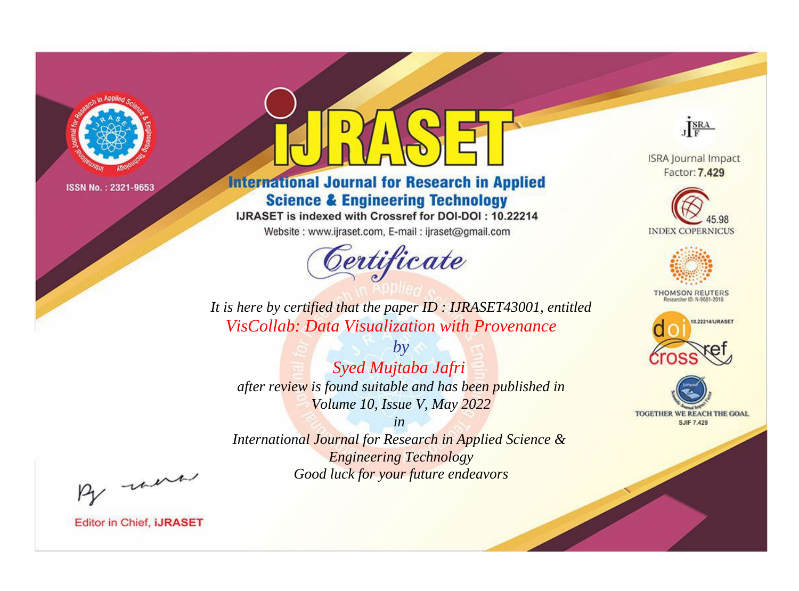

# **International Journal for Research in Applied Science & Engineering Technology**

IJRASET is indexed with Crossref for DOI-DOI: 10.22214

Website: www.ijraset.com, E-mail: ijraset@gmail.com



JERA

**ISRA Journal Impact** Factor: 7.429





**THOMSON REUTERS** 



TOGETHER WE REACH THE GOAL **SJIF 7.429** 

*It is here by certified that the paper ID : IJRASET43001, entitled VisCollab: Data Visualization with Provenance*

*by Syed Mujtaba Jafri after review is found suitable and has been published in Volume 10, Issue V, May 2022*

*in* 

*International Journal for Research in Applied Science & Engineering Technology Good luck for your future endeavors*

By morn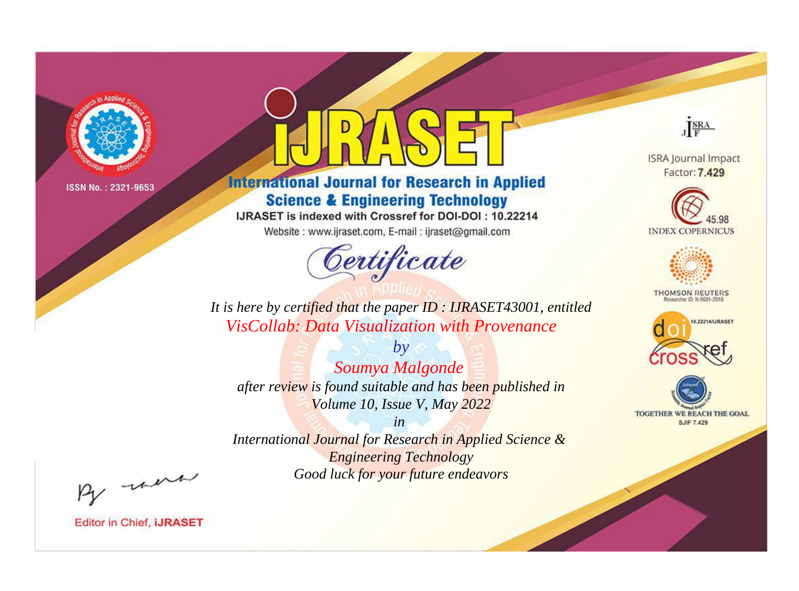

# **International Journal for Research in Applied Science & Engineering Technology**

IJRASET is indexed with Crossref for DOI-DOI: 10.22214

Website: www.ijraset.com, E-mail: ijraset@gmail.com



JERA

**ISRA Journal Impact** Factor: 7.429





**THOMSON REUTERS** 



TOGETHER WE REACH THE GOAL **SJIF 7.429** 

*It is here by certified that the paper ID : IJRASET43001, entitled VisCollab: Data Visualization with Provenance*

*Soumya Malgonde after review is found suitable and has been published in Volume 10, Issue V, May 2022*

*by*

*in* 

*International Journal for Research in Applied Science & Engineering Technology Good luck for your future endeavors*

By morn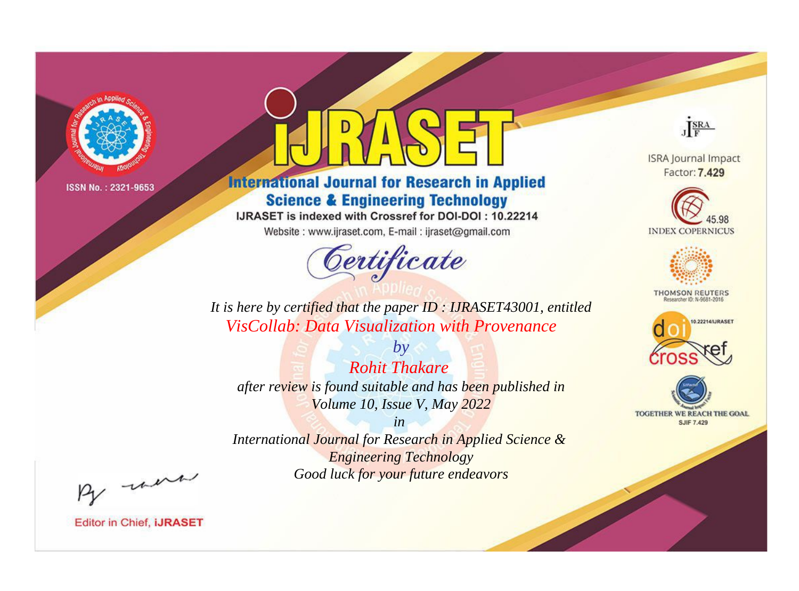

# **International Journal for Research in Applied Science & Engineering Technology**

IJRASET is indexed with Crossref for DOI-DOI: 10.22214

Website: www.ijraset.com, E-mail: ijraset@gmail.com



JERA

**ISRA Journal Impact** Factor: 7.429





**THOMSON REUTERS** 



TOGETHER WE REACH THE GOAL **SJIF 7.429** 

*It is here by certified that the paper ID : IJRASET43001, entitled VisCollab: Data Visualization with Provenance*

*by Rohit Thakare after review is found suitable and has been published in Volume 10, Issue V, May 2022*

*in* 

*International Journal for Research in Applied Science & Engineering Technology Good luck for your future endeavors*

By morn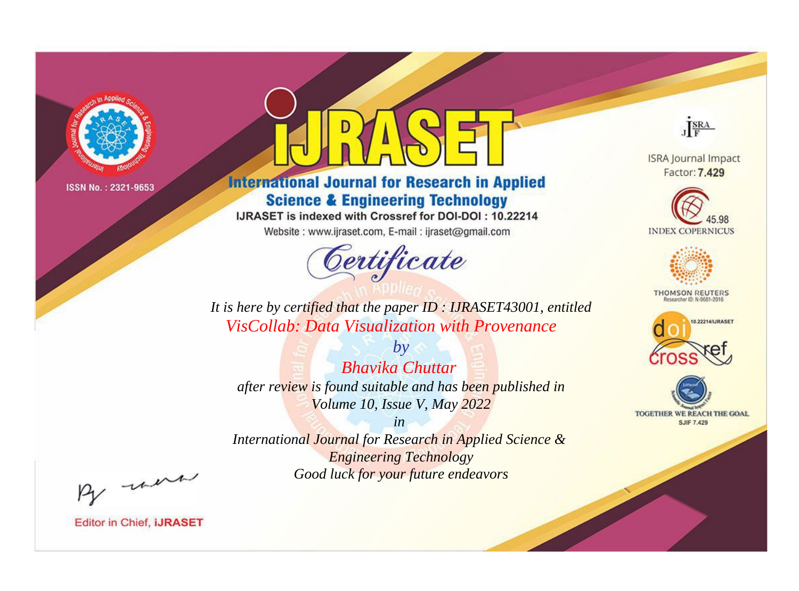

# **International Journal for Research in Applied Science & Engineering Technology**

IJRASET is indexed with Crossref for DOI-DOI: 10.22214

Website: www.ijraset.com, E-mail: ijraset@gmail.com



JERA

**ISRA Journal Impact** Factor: 7.429





**THOMSON REUTERS** 



TOGETHER WE REACH THE GOAL **SJIF 7.429** 

*It is here by certified that the paper ID : IJRASET43001, entitled VisCollab: Data Visualization with Provenance*

*by Bhavika Chuttar after review is found suitable and has been published in Volume 10, Issue V, May 2022*

*in* 

*International Journal for Research in Applied Science & Engineering Technology Good luck for your future endeavors*

By morn